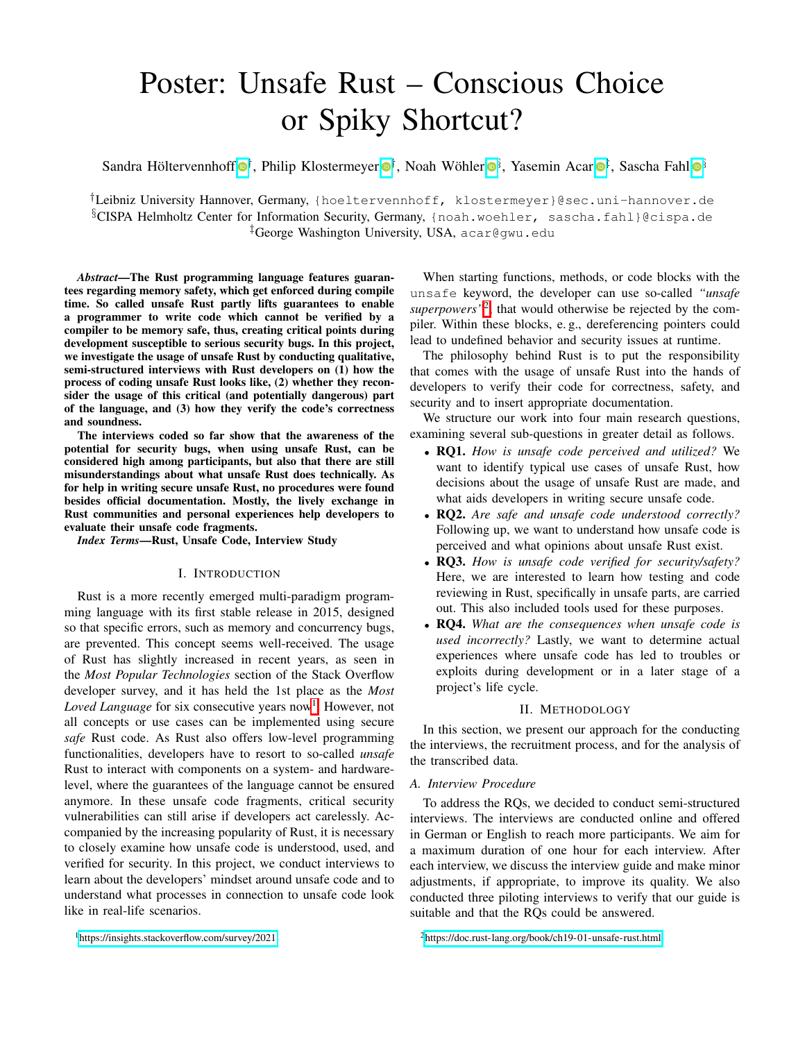# Poster: Unsafe Rust – Conscious Choice or Spiky Shortcut?

Sandra Höltervennhoff *[†](https://orcid.org/0000-0003-4284-0473)*, Philip Klostermeyer *[†](https://orcid.org/0000-0002-8829-6074)*, Noah Wöhler *[§](https://orcid.org/0000-0002-4172-9565)*, Yasemin Acar *[‡](https://orcid.org/0000-0001-7167-7383)*, Sascha Fahl *[§](https://orcid.org/0000-0002-5644-3316)*

*†*Leibniz University Hannover, Germany, {hoeltervennhoff, klostermeyer}@sec.uni-hannover.de *§*CISPA Helmholtz Center for Information Security, Germany, {noah.woehler, sascha.fahl}@cispa.de *‡*George Washington University, USA, acar@gwu.edu

*Abstract*—The Rust programming language features guarantees regarding memory safety, which get enforced during compile time. So called unsafe Rust partly lifts guarantees to enable a programmer to write code which cannot be verified by a compiler to be memory safe, thus, creating critical points during development susceptible to serious security bugs. In this project, we investigate the usage of unsafe Rust by conducting qualitative, semi-structured interviews with Rust developers on (1) how the process of coding unsafe Rust looks like, (2) whether they reconsider the usage of this critical (and potentially dangerous) part of the language, and (3) how they verify the code's correctness and soundness.

The interviews coded so far show that the awareness of the potential for security bugs, when using unsafe Rust, can be considered high among participants, but also that there are still misunderstandings about what unsafe Rust does technically. As for help in writing secure unsafe Rust, no procedures were found besides official documentation. Mostly, the lively exchange in Rust communities and personal experiences help developers to evaluate their unsafe code fragments.

*Index Terms*—Rust, Unsafe Code, Interview Study

## I. INTRODUCTION

Rust is a more recently emerged multi-paradigm programming language with its first stable release in 2015, designed so that specific errors, such as memory and concurrency bugs, are prevented. This concept seems well-received. The usage of Rust has slightly increased in recent years, as seen in the *Most Popular Technologies* section of the Stack Overflow developer survey, and it has held the 1st place as the *Most Loved Language* for six consecutive years now<sup>1</sup>. However, not all concepts or use cases can be implemented using secure *safe* Rust code. As Rust also offers low-level programming functionalities, developers have to resort to so-called *unsafe* Rust to interact with components on a system- and hardwarelevel, where the guarantees of the language cannot be ensured anymore. In these unsafe code fragments, critical security vulnerabilities can still arise if developers act carelessly. Accompanied by the increasing popularity of Rust, it is necessary to closely examine how unsafe code is understood, used, and verified for security. In this project, we conduct interviews to learn about the developers' mindset around unsafe code and to understand what processes in connection to unsafe code look like in real-life scenarios.

When starting functions, methods, or code blocks with the unsafe keyword, the developer can use so-called *"unsafe superpowers*<sup> $n^2$ </sup>, that would otherwise be rejected by the compiler. Within these blocks, e. g., dereferencing pointers could lead to undefined behavior and security issues at runtime.

The philosophy behind Rust is to put the responsibility that comes with the usage of unsafe Rust into the hands of developers to verify their code for correctness, safety, and security and to insert appropriate documentation.

We structure our work into four main research questions, examining several sub-questions in greater detail as follows.

- *•* RQ1. *How is unsafe code perceived and utilized?* We want to identify typical use cases of unsafe Rust, how decisions about the usage of unsafe Rust are made, and what aids developers in writing secure unsafe code.
- *•* RQ2. *Are safe and unsafe code understood correctly?* Following up, we want to understand how unsafe code is perceived and what opinions about unsafe Rust exist.
- *•* RQ3. *How is unsafe code verified for security/safety?* Here, we are interested to learn how testing and code reviewing in Rust, specifically in unsafe parts, are carried out. This also included tools used for these purposes.
- *•* RQ4. *What are the consequences when unsafe code is used incorrectly?* Lastly, we want to determine actual experiences where unsafe code has led to troubles or exploits during development or in a later stage of a project's life cycle.

## II. METHODOLOGY

In this section, we present our approach for the conducting the interviews, the recruitment process, and for the analysis of the transcribed data.

### *A. Interview Procedure*

To address the RQs, we decided to conduct semi-structured interviews. The interviews are conducted online and offered in German or English to reach more participants. We aim for a maximum duration of one hour for each interview. After each interview, we discuss the interview guide and make minor adjustments, if appropriate, to improve its quality. We also conducted three piloting interviews to verify that our guide is suitable and that the RQs could be answered.

<span id="page-0-1"></span>[2https://doc.rust-lang.org/book/ch19-01-unsafe-rust.html](https://doc.rust-lang.org/book/ch19-01-unsafe-rust.html)

<span id="page-0-0"></span><sup>&</sup>lt;sup>1</sup>https://insights.stackoverflow.com/survey/2021